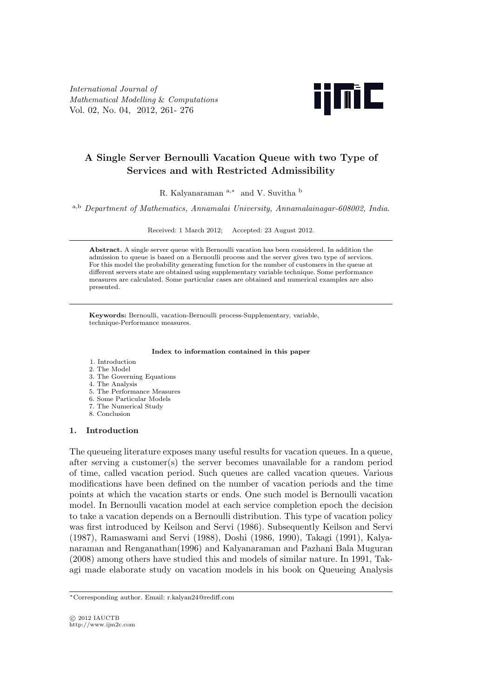*International Journal of Mathematical Modelling* & *Computations* Vol. 02, No. 04, 2012, 261- 276



# **A Single Server Bernoulli Vacation Queue with two Type of Services and with Restricted Admissibility**

R. Kalyanaraman <sup>a</sup>*,<sup>∗</sup>* and V. Suvitha <sup>b</sup>

<sup>a</sup>*,*<sup>b</sup> *Department of Mathematics, Annamalai University, Annamalainagar-608002, India*.

Received: 1 March 2012; Accepted: 23 August 2012.

**Abstract.** A single server queue with Bernoulli vacation has been considered. In addition the admission to queue is based on a Bernoulli process and the server gives two type of services. For this model the probability generating function for the number of customers in the queue at different servers state are obtained using supplementary variable technique. Some performance measures are calculated. Some particular cases are obtained and numerical examples are also presented.

**Keywords:** Bernoulli, vacation-Bernoulli process-Supplementary, variable, technique-Performance measures.

#### **Index to information contained in this paper**

- 1. Introduction
- 2. The Model 3. The Governing Equations
- 4. The Analysis
- 
- 5. The Performance Measures 6. Some Particular Models
- 7. The Numerical Study
- 8. Conclusion

## **1. Introduction**

The queueing literature exposes many useful results for vacation queues. In a queue, after serving a customer(s) the server becomes unavailable for a random period of time, called vacation period. Such queues are called vacation queues. Various modifications have been defined on the number of vacation periods and the time points at which the vacation starts or ends. One such model is Bernoulli vacation model. In Bernoulli vacation model at each service completion epoch the decision to take a vacation depends on a Bernoulli distribution. This type of vacation policy was first introduced by Keilson and Servi (1986). Subsequently Keilson and Servi (1987), Ramaswami and Servi (1988), Doshi (1986, 1990), Takagi (1991), Kalyanaraman and Renganathan(1996) and Kalyanaraman and Pazhani Bala Muguran (2008) among others have studied this and models of similar nature. In 1991, Takagi made elaborate study on vacation models in his book on Queueing Analysis

*<sup>∗</sup>*Corresponding author. Email: r.kalyan24@rediff.com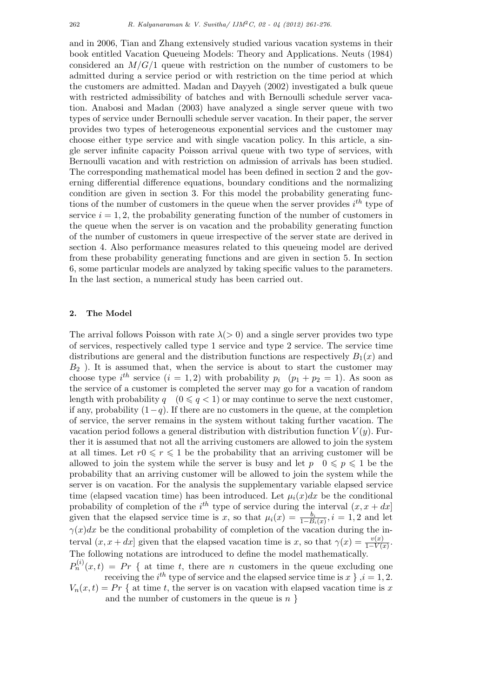and in 2006, Tian and Zhang extensively studied various vacation systems in their book entitled Vacation Queueing Models: Theory and Applications. Neuts (1984) considered an *M/G/*1 queue with restriction on the number of customers to be admitted during a service period or with restriction on the time period at which the customers are admitted. Madan and Dayyeh (2002) investigated a bulk queue with restricted admissibility of batches and with Bernoulli schedule server vacation. Anabosi and Madan (2003) have analyzed a single server queue with two types of service under Bernoulli schedule server vacation. In their paper, the server provides two types of heterogeneous exponential services and the customer may choose either type service and with single vacation policy. In this article, a single server infinite capacity Poisson arrival queue with two type of services, with Bernoulli vacation and with restriction on admission of arrivals has been studied. The corresponding mathematical model has been defined in section 2 and the governing differential difference equations, boundary conditions and the normalizing condition are given in section 3. For this model the probability generating functions of the number of customers in the queue when the server provides *i th* type of service  $i = 1, 2$ , the probability generating function of the number of customers in the queue when the server is on vacation and the probability generating function of the number of customers in queue irrespective of the server state are derived in section 4. Also performance measures related to this queueing model are derived from these probability generating functions and are given in section 5. In section 6, some particular models are analyzed by taking specific values to the parameters. In the last section, a numerical study has been carried out.

## **2. The Model**

The arrival follows Poisson with rate  $\lambda$ ( $>$ 0) and a single server provides two type of services, respectively called type 1 service and type 2 service. The service time distributions are general and the distribution functions are respectively  $B_1(x)$  and *B*<sup>2</sup> ). It is assumed that, when the service is about to start the customer may choose type  $i^{th}$  service  $(i = 1, 2)$  with probability  $p_i$   $(p_1 + p_2 = 1)$ . As soon as the service of a customer is completed the server may go for a vacation of random length with probability  $q \mid (0 \leq q < 1)$  or may continue to serve the next customer, if any, probability (1*−q*). If there are no customers in the queue, at the completion of service, the server remains in the system without taking further vacation. The vacation period follows a general distribution with distribution function  $V(y)$ . Further it is assumed that not all the arriving customers are allowed to join the system at all times. Let  $r \in \mathcal{F} \leq 1$  be the probability that an arriving customer will be allowed to join the system while the server is busy and let  $p \in \mathbb{Q} \leq p \leq 1$  be the probability that an arriving customer will be allowed to join the system while the server is on vacation. For the analysis the supplementary variable elapsed service time (elapsed vacation time) has been introduced. Let  $\mu_i(x)dx$  be the conditional probability of completion of the  $i^{th}$  type of service during the interval  $(x, x + dx)$ given that the elapsed service time is *x*, so that  $\mu_i(x) = \frac{b_i}{1 - B_i(x)}$ ,  $i = 1, 2$  and let  $\gamma(x)dx$  be the conditional probability of completion of the vacation during the interval  $(x, x + dx)$  given that the elapsed vacation time is *x*, so that  $\gamma(x) = \frac{v(x)}{1 - V(x)}$ . The following notations are introduced to define the model mathematically.

 $P_n^{(i)}(x,t) = Pr \{$  at time *t*, there are *n* customers in the queue excluding one receiving the  $i^{th}$  type of service and the elapsed service time is  $x \}$ ,  $i = 1, 2$ .  $V_n(x,t) = Pr \{$  at time *t*, the server is on vacation with elapsed vacation time is *x* and the number of customers in the queue is *n }*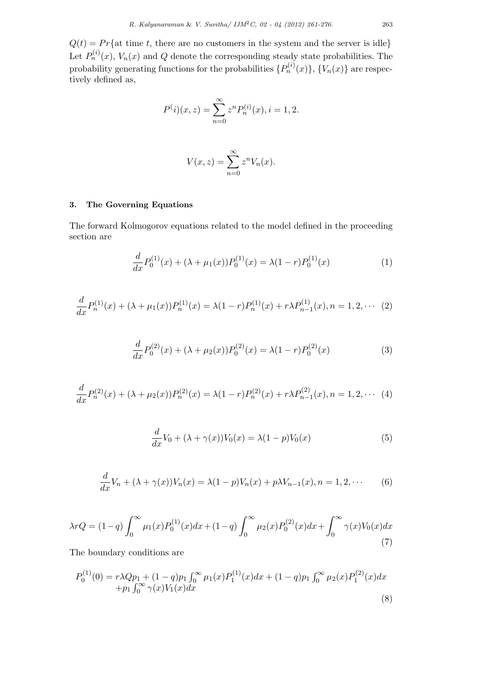$Q(t) = Pr\{at \text{ time } t, \text{ there are no customers in the system and the server is idle}\}$ Let  $P_n^{(i)}(x)$ ,  $V_n(x)$  and  $Q$  denote the corresponding steady state probabilities. The  $\{P_n^{(i)}(x)\}, \{V_n(x)\}\$ are respectively defined as,

$$
P^{(i)}(x, z) = \sum_{n=0}^{\infty} z^n P_n^{(i)}(x), i = 1, 2.
$$

$$
V(x, z) = \sum_{n=0}^{\infty} z^n V_n(x).
$$

# **3. The Governing Equations**

The forward Kolmogorov equations related to the model defined in the proceeding section are

$$
\frac{d}{dx}P_0^{(1)}(x) + (\lambda + \mu_1(x))P_0^{(1)}(x) = \lambda(1-r)P_0^{(1)}(x)
$$
\n(1)

$$
\frac{d}{dx}P_n^{(1)}(x) + (\lambda + \mu_1(x))P_n^{(1)}(x) = \lambda(1-r)P_n^{(1)}(x) + r\lambda P_{n-1}^{(1)}(x), n = 1, 2, \cdots (2)
$$

$$
\frac{d}{dx}P_0^{(2)}(x) + (\lambda + \mu_2(x))P_0^{(2)}(x) = \lambda(1-r)P_0^{(2)}(x)
$$
\n(3)

$$
\frac{d}{dx}P_n^{(2)}(x) + (\lambda + \mu_2(x))P_n^{(2)}(x) = \lambda(1-r)P_n^{(2)}(x) + r\lambda P_{n-1}^{(2)}(x), n = 1, 2, \cdots (4)
$$

$$
\frac{d}{dx}V_0 + (\lambda + \gamma(x))V_0(x) = \lambda(1 - p)V_0(x)
$$
\n(5)

$$
\frac{d}{dx}V_n + (\lambda + \gamma(x))V_n(x) = \lambda(1 - p)V_n(x) + p\lambda V_{n-1}(x), n = 1, 2, \cdots
$$
 (6)

$$
\lambda rQ = (1-q)\int_0^\infty \mu_1(x)P_0^{(1)}(x)dx + (1-q)\int_0^\infty \mu_2(x)P_0^{(2)}(x)dx + \int_0^\infty \gamma(x)V_0(x)dx
$$
\n(7)

The boundary conditions are

$$
P_0^{(1)}(0) = r\lambda Qp_1 + (1-q)p_1 \int_0^\infty \mu_1(x) P_1^{(1)}(x) dx + (1-q)p_1 \int_0^\infty \mu_2(x) P_1^{(2)}(x) dx + p_1 \int_0^\infty \gamma(x) V_1(x) dx
$$
\n(8)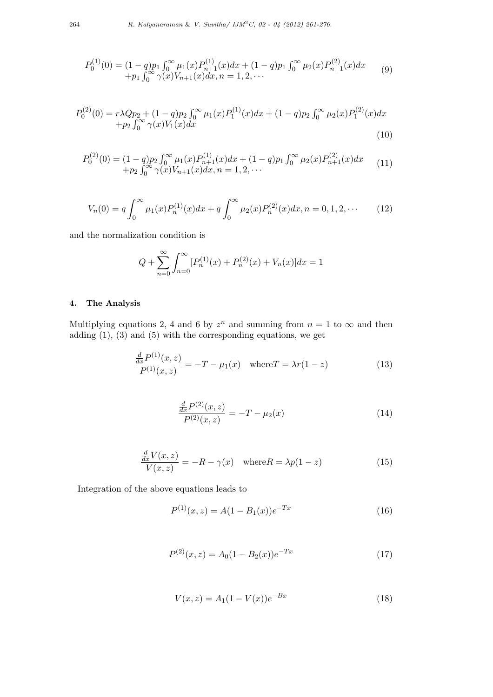$$
P_0^{(1)}(0) = (1-q)p_1 \int_0^\infty \mu_1(x) P_{n+1}^{(1)}(x) dx + (1-q)p_1 \int_0^\infty \mu_2(x) P_{n+1}^{(2)}(x) dx
$$
  
+  $p_1 \int_0^\infty \gamma(x) V_{n+1}(x) dx, n = 1, 2, \cdots$  (9)

$$
P_0^{(2)}(0) = r\lambda Q p_2 + (1-q)p_2 \int_0^\infty \mu_1(x) P_1^{(1)}(x) dx + (1-q)p_2 \int_0^\infty \mu_2(x) P_1^{(2)}(x) dx + p_2 \int_0^\infty \gamma(x) V_1(x) dx
$$
\n(10)

$$
P_0^{(2)}(0) = (1-q)p_2 \int_0^\infty \mu_1(x) P_{n+1}^{(1)}(x) dx + (1-q)p_1 \int_0^\infty \mu_2(x) P_{n+1}^{(2)}(x) dx + p_2 \int_0^\infty \gamma(x) V_{n+1}(x) dx, n = 1, 2, \cdots
$$
\n(11)

$$
V_n(0) = q \int_0^\infty \mu_1(x) P_n^{(1)}(x) dx + q \int_0^\infty \mu_2(x) P_n^{(2)}(x) dx, n = 0, 1, 2, \cdots
$$
 (12)

and the normalization condition is

$$
Q + \sum_{n=0}^{\infty} \int_{n=0}^{\infty} [P_n^{(1)}(x) + P_n^{(2)}(x) + V_n(x)] dx = 1
$$

# **4. The Analysis**

Multiplying equations 2, 4 and 6 by  $z^n$  and summing from  $n = 1$  to  $\infty$  and then adding  $(1)$ ,  $(3)$  and  $(5)$  with the corresponding equations, we get

$$
\frac{\frac{d}{dx}P^{(1)}(x,z)}{P^{(1)}(x,z)} = -T - \mu_1(x) \quad \text{where} \quad T = \lambda r(1-z) \tag{13}
$$

$$
\frac{\frac{d}{dx}P^{(2)}(x,z)}{P^{(2)}(x,z)} = -T - \mu_2(x)
$$
\n(14)

$$
\frac{\frac{d}{dx}V(x,z)}{V(x,z)} = -R - \gamma(x) \quad \text{where} \quad R = \lambda p(1-z) \tag{15}
$$

Integration of the above equations leads to

$$
P^{(1)}(x,z) = A(1 - B_1(x))e^{-Tx}
$$
\n(16)

$$
P^{(2)}(x,z) = A_0(1 - B_2(x))e^{-Tx}
$$
\n(17)

$$
V(x, z) = A_1(1 - V(x))e^{-Bx}
$$
\n(18)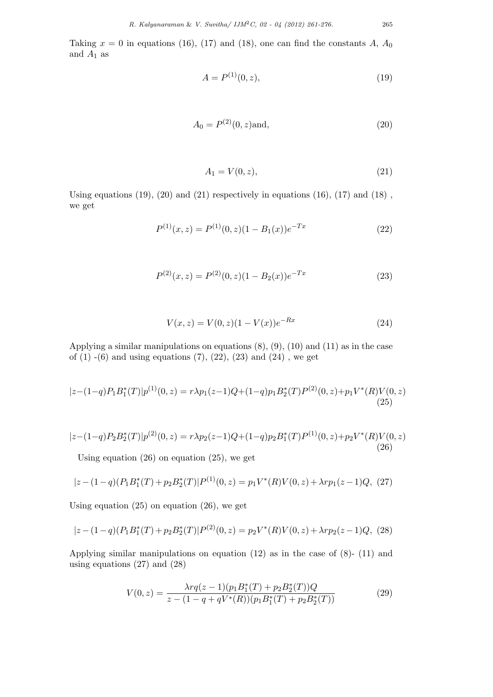Taking  $x = 0$  in equations (16), (17) and (18), one can find the constants  $A, A_0$ and  $A_1$  as

$$
A = P^{(1)}(0, z), \tag{19}
$$

$$
A_0 = P^{(2)}(0, z) \text{and}, \tag{20}
$$

$$
A_1 = V(0, z), \t\t(21)
$$

Using equations  $(19)$ ,  $(20)$  and  $(21)$  respectively in equations  $(16)$ ,  $(17)$  and  $(18)$ , we get

$$
P^{(1)}(x,z) = P^{(1)}(0,z)(1 - B_1(x))e^{-Tx}
$$
\n(22)

$$
P^{(2)}(x,z) = P^{(2)}(0,z)(1 - B_2(x))e^{-Tx}
$$
\n(23)

$$
V(x, z) = V(0, z)(1 - V(x))e^{-Rx}
$$
\n(24)

Applying a similar manipulations on equations  $(8)$ ,  $(9)$ ,  $(10)$  and  $(11)$  as in the case of  $(1)$  -(6) and using equations  $(7)$ ,  $(22)$ ,  $(23)$  and  $(24)$ , we get

$$
|z - (1 - q)P_1B_1^*(T)|p^{(1)}(0, z) = r\lambda p_1(z - 1)Q + (1 - q)p_1B_2^*(T)P^{(2)}(0, z) + p_1V^*(R)V(0, z)
$$
\n(25)

$$
|z - (1 - q)P_2B_2^*(T)|p^{(2)}(0, z) = r\lambda p_2(z - 1)Q + (1 - q)p_2B_1^*(T)P^{(1)}(0, z) + p_2V^*(R)V(0, z)
$$
\n
$$
(26)
$$

Using equation (26) on equation (25), we get

$$
|z - (1 - q)(P_1 B_1^*(T) + p_2 B_2^*(T)|P^{(1)}(0, z) = p_1 V^*(R) V(0, z) + \lambda r p_1(z - 1) Q, (27)
$$

Using equation  $(25)$  on equation  $(26)$ , we get

$$
|z - (1 - q)(P_1 B_1^*(T) + p_2 B_2^*(T)|P^{(2)}(0, z) = p_2 V^*(R)V(0, z) + \lambda r p_2(z - 1)Q, (28)
$$

Applying similar manipulations on equation (12) as in the case of (8)- (11) and using equations (27) and (28)

$$
V(0,z) = \frac{\lambda r q(z-1)(p_1 B_1^*(T) + p_2 B_2^*(T))Q}{z - (1 - q + qV^*(R))(p_1 B_1^*(T) + p_2 B_2^*(T))}
$$
(29)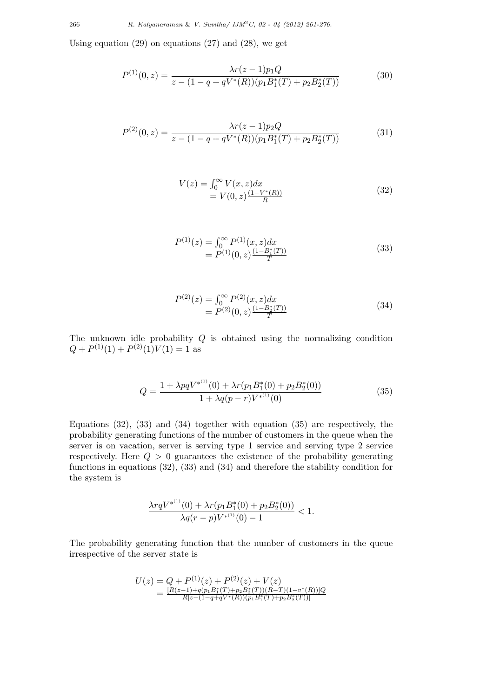Using equation  $(29)$  on equations  $(27)$  and  $(28)$ , we get

$$
P^{(1)}(0,z) = \frac{\lambda r(z-1)p_1 Q}{z - (1 - q + qV^*(R))(p_1 B_1^*(T) + p_2 B_2^*(T))}
$$
(30)

$$
P^{(2)}(0,z) = \frac{\lambda r(z-1)p_2 Q}{z - (1 - q + qV^*(R))(p_1 B_1^*(T) + p_2 B_2^*(T))}
$$
(31)

$$
V(z) = \int_0^\infty V(x, z) dx
$$
  
=  $V(0, z) \frac{(1 - V^*(R))}{R}$  (32)

$$
P^{(1)}(z) = \int_0^\infty P^{(1)}(x, z) dx
$$
  
= 
$$
P^{(1)}(0, z) \frac{(1 - B_1^*(T))}{T}
$$
 (33)

$$
P^{(2)}(z) = \int_0^\infty P^{(2)}(x, z) dx
$$
  
=  $P^{(2)}(0, z) \frac{(1 - B_2^*(T))}{T}$  (34)

The unknown idle probability *Q* is obtained using the normalizing condition  $Q + P^{(1)}(1) + P^{(2)}(1)V(1) = 1$  as

$$
Q = \frac{1 + \lambda pqV^{*^{(1)}}(0) + \lambda r(p_1 B_1^*(0) + p_2 B_2^*(0))}{1 + \lambda q(p-r)V^{*^{(1)}}(0)}
$$
(35)

Equations  $(32)$ ,  $(33)$  and  $(34)$  together with equation  $(35)$  are respectively, the probability generating functions of the number of customers in the queue when the server is on vacation, server is serving type 1 service and serving type 2 service respectively. Here *Q >* 0 guarantees the existence of the probability generating functions in equations (32), (33) and (34) and therefore the stability condition for the system is

$$
\frac{\lambda r q V^{*^{(1)}}(0) + \lambda r (p_1 B_1^*(0) + p_2 B_2^*(0))}{\lambda q (r - p) V^{*^{(1)}}(0) - 1} < 1.
$$

The probability generating function that the number of customers in the queue irrespective of the server state is

$$
U(z) = Q + P^{(1)}(z) + P^{(2)}(z) + V(z)
$$
  
= 
$$
\frac{[R(z-1)+q(p_1B_1^*(T)+p_2B_2^*(T))(R-T)(1-v^*(R))]Q}{R[z-(1-q+qV^*(R))(p_1B_1^*(T)+p_2B_2^*(T))]}
$$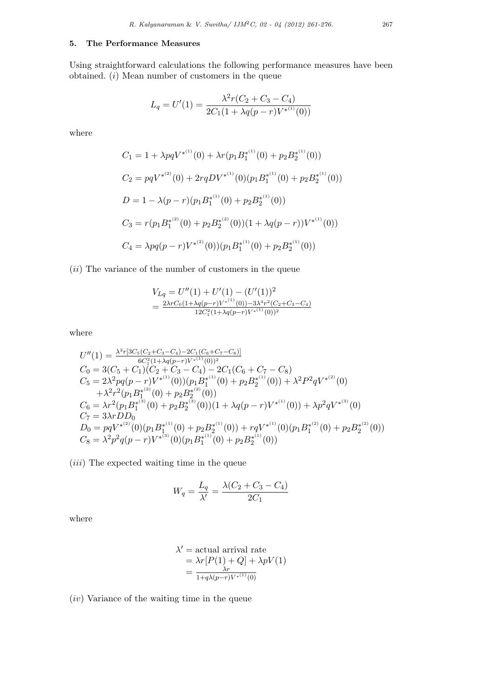## **5. The Performance Measures**

Using straightforward calculations the following performance measures have been obtained. (*i*) Mean number of customers in the queue

$$
L_q = U'(1) = \frac{\lambda^2 r (C_2 + C_3 - C_4)}{2C_1 (1 + \lambda q (p - r)V^{*(1)}(0))}
$$

where

$$
C_1 = 1 + \lambda pqV^{*(1)}(0) + \lambda r(p_1 B_1^{*(1)}(0) + p_2 B_2^{*(1)}(0))
$$
  
\n
$$
C_2 = pqV^{*(2)}(0) + 2rqDV^{*(1)}(0)(p_1 B_1^{*(1)}(0) + p_2 B_2^{*(1)}(0))
$$
  
\n
$$
D = 1 - \lambda (p - r)(p_1 B_1^{*(1)}(0) + p_2 B_2^{*(1)}(0))
$$
  
\n
$$
C_3 = r(p_1 B_1^{*(2)}(0) + p_2 B_2^{*(2)}(0))(1 + \lambda q(p - r))V^{*(1)}(0))
$$
  
\n
$$
C_4 = \lambda pq(p - r)V^{*(2)}(0))(p_1 B_1^{*(1)}(0) + p_2 B_2^{*(1)}(0))
$$

(*ii*) The variance of the number of customers in the queue

$$
V_{Lq} = U''(1) + U'(1) - (U'(1))^2
$$
  
= 
$$
\frac{2\lambda r C_0 (1 + \lambda q (p - r)) V^{*(1)}(0) - 3\lambda^4 r^2 (C_2 + C_3 - C_4)}{12 C_1^2 (1 + \lambda q (p - r)) V^{*(1)}(0))^2}
$$

where

$$
U''(1) = \frac{\lambda^2 r [3C_5(C_2 + C_3 - C_4) - 2C_1(C_6 + C_7 - C_8)]}{6C_1^2 (1 + \lambda q (p - r)V^{*(1)}(0))^2}
$$
  
\n
$$
C_0 = 3(C_5 + C_1)(C_2 + C_3 - C_4) - 2C_1(C_6 + C_7 - C_8)
$$
  
\n
$$
C_5 = 2\lambda^2 pq(p - r)V^{*(1)}(0))(p_1 B_1^{*(1)}(0) + p_2 B_2^{*(1)}(0)) + \lambda^2 P^2 q V^{*(2)}(0)
$$
  
\n
$$
+ \lambda^2 r^2 (p_1 B_1^{*(2)}(0) + p_2 B_2^{*(2)}(0))
$$
  
\n
$$
C_6 = \lambda r^2 (p_1 B_1^{*(3)}(0) + p_2 B_2^{*(3)}(0))(1 + \lambda q (p - r)V^{*(1)}(0)) + \lambda p^2 q V^{*(3)}(0)
$$
  
\n
$$
C_7 = 3\lambda r D D_0
$$
  
\n
$$
D_0 = pqV^{*(2)}(0)(p_1 B_1^{*(1)}(0) + p_2 B_2^{*(1)}(0)) + rqV^{*(1)}(0)(p_1 B_1^{*(2)}(0) + p_2 B_2^{*(2)}(0))
$$
  
\n
$$
C_8 = \lambda^2 p^2 q (p - r)V^{*(3)}(0)(p_1 B_1^{*(1)}(0) + p_2 B_2^{*(1)}(0))
$$

(*iii*) The expected waiting time in the queue

$$
W_q = \frac{L_q}{\lambda'} = \frac{\lambda (C_2 + C_3 - C_4)}{2C_1}
$$

where

$$
\lambda' = \text{actual arrival rate}
$$
  
=  $\lambda r [P(1) + Q] + \lambda p V(1)$   
=  $\frac{\lambda r}{1 + q \lambda (p - r) V^{*(1)}(0)}$ 

(*iv*) Variance of the waiting time in the queue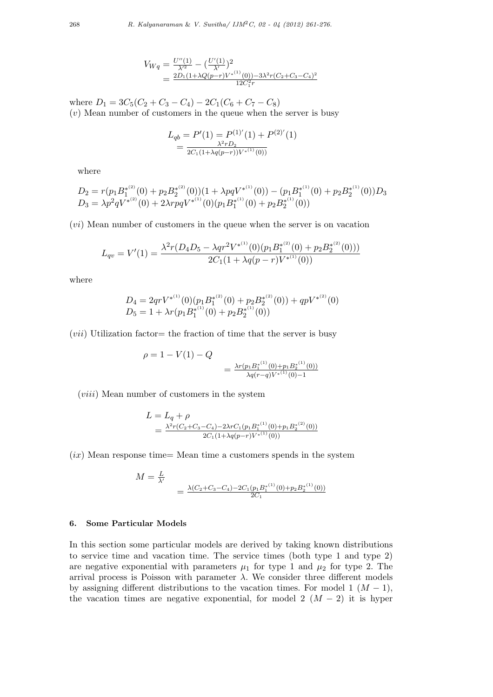$$
V_{Wq} = \frac{U''(1)}{\lambda'^2} - \left(\frac{U'(1)}{\lambda'}\right)^2
$$
  
= 
$$
\frac{2D_1(1+\lambda Q(p-r)V^{*(1)}(0)) - 3\lambda^2 r (C_2 + C_3 - C_4)^2}{12C_1^2 r}
$$

where  $D_1 = 3C_5(C_2 + C_3 - C_4) - 2C_1(C_6 + C_7 - C_8)$ (*v*) Mean number of customers in the queue when the server is busy

$$
L_{qb} = P'(1) = P^{(1)'}(1) + P^{(2)'}(1)
$$
  
= 
$$
\frac{\lambda^2 r D_2}{2C_1(1 + \lambda q(p - r))V^{*(1)}(0)}
$$

where

$$
D_2 = r(p_1 B_1^{*(2)}(0) + p_2 B_2^{*(2)}(0))(1 + \lambda pqV^{*(1)}(0)) - (p_1 B_1^{*(1)}(0) + p_2 B_2^{*(1)}(0))D_3
$$
  
\n
$$
D_3 = \lambda p^2 qV^{*(2)}(0) + 2\lambda r p qV^{*(1)}(0)(p_1 B_1^{*(1)}(0) + p_2 B_2^{*(1)}(0))
$$

(*vi*) Mean number of customers in the queue when the server is on vacation

$$
L_{qv} = V'(1) = \frac{\lambda^2 r (D_4 D_5 - \lambda q r^2 V^{*(1)}(0) (p_1 B_1^{*(2)}(0) + p_2 B_2^{*(2)}(0)))}{2C_1 (1 + \lambda q (p - r) V^{*(1)}(0))}
$$

where

$$
D_4 = 2qrV^{*(1)}(0)(p_1B_1^{*(2)}(0) + p_2B_2^{*(2)}(0)) + qpV^{*(2)}(0)
$$
  
\n
$$
D_5 = 1 + \lambda r(p_1B_1^{*(1)}(0) + p_2B_2^{*(1)}(0))
$$

 $(vii)$  Utilization factor the fraction of time that the server is busy

$$
\rho = 1 - V(1) - Q
$$
  
= 
$$
\frac{\lambda r (p_1 B_1^{*(1)}(0) + p_1 B_2^{*(1)}(0))}{\lambda q (r - q) V^{*(1)}(0) - 1}
$$

(*viii*) Mean number of customers in the system

$$
L = L_q + \rho
$$
  
= 
$$
\frac{\lambda^2 r (C_2 + C_3 - C_4) - 2\lambda r C_1 (p_1 B_1^{*(1)}(0) + p_1 B_2^{*(2)}(0))}{2C_1 (1 + \lambda q (p - r) V^{*(1)}(0))}
$$

 $(ix)$  Mean response time= Mean time a customers spends in the system

$$
M = \frac{L}{\lambda'}
$$
  
= 
$$
\frac{\lambda (C_2 + C_3 - C_4) - 2C_1 (p_1 B_1^{*^{(1)}}(0) + p_2 B_2^{*^{(1)}}(0))}{2C_1}
$$

## **6. Some Particular Models**

In this section some particular models are derived by taking known distributions to service time and vacation time. The service times (both type 1 and type 2) are negative exponential with parameters  $\mu_1$  for type 1 and  $\mu_2$  for type 2. The arrival process is Poisson with parameter  $\lambda$ . We consider three different models by assigning different distributions to the vacation times. For model 1  $(M - 1)$ , the vacation times are negative exponential, for model 2  $(M - 2)$  it is hyper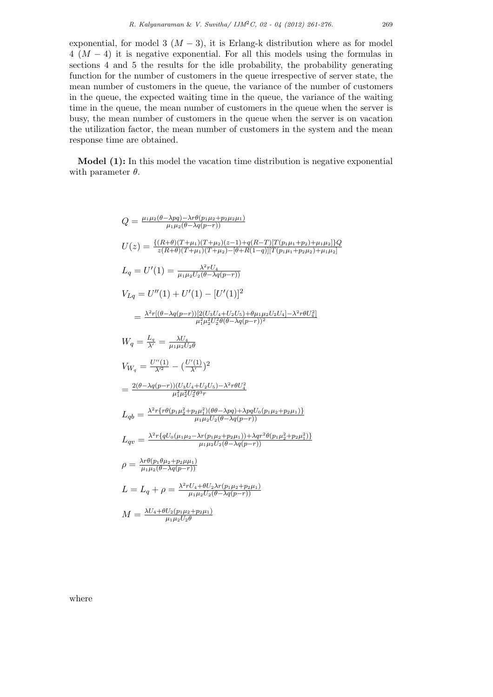exponential, for model 3  $(M-3)$ , it is Erlang-k distribution where as for model 4 (*M −* 4) it is negative exponential. For all this models using the formulas in sections 4 and 5 the results for the idle probability, the probability generating function for the number of customers in the queue irrespective of server state, the mean number of customers in the queue, the variance of the number of customers in the queue, the expected waiting time in the queue, the variance of the waiting time in the queue, the mean number of customers in the queue when the server is busy, the mean number of customers in the queue when the server is on vacation the utilization factor, the mean number of customers in the system and the mean response time are obtained.

**Model (1):** In this model the vacation time distribution is negative exponential with parameter *θ*.

$$
Q = \frac{\mu_1 \mu_2 (\theta - \lambda pq) - \lambda r \theta (p_1 \mu_2 + p_2 \mu_2 \mu_1)}{\mu_1 \mu_2 (\theta - \lambda q (p - r))}
$$
  
\n
$$
U(z) = \frac{\{(R + \theta)(T + \mu_1)(T + \mu_2)(z - 1) + q(R - T)[T(p_1 \mu_1 + p_2) + \mu_1 \mu_2]\} Q}{z(R + \theta)(T + \mu_1)(T + \mu_2) - [\theta + R(1 - q)][T(p_1 \mu_1 + p_2 \mu_2) + \mu_1 \mu_2]}
$$
  
\n
$$
L_q = U'(1) = \frac{\lambda^2 r U_4}{\mu_1 \mu_2 U_2 (\theta - \lambda q (p - r))}
$$
  
\n
$$
V_{Lq} = U''(1) + U'(1) - [U'(1)]^2
$$
  
\n
$$
= \frac{\lambda^2 r [(\theta - \lambda q (p - r))[2(U_3 U_4 + U_2 U_5) + \theta \mu_1 \mu_2 U_2 U_4] - \lambda^2 r \theta U_4^2]}{\mu_1^2 \mu_2^2 U_2^2 \theta (\theta - \lambda q (p - r))^2}
$$
  
\n
$$
W_q = \frac{L_q}{\lambda'} = \frac{\lambda U_4}{\mu_1 \mu_2 U_2 \theta}
$$
  
\n
$$
V_{W_q} = \frac{U''(1)}{\lambda'^2} - (\frac{U'(1)}{\lambda'})^2
$$
  
\n
$$
= \frac{2(\theta - \lambda q (p - r))(U_3 U_4 + U_2 U_5) - \lambda^2 r \theta U_4^2}{\mu_1^2 \mu_2^2 U_2^2 \theta^3 r}
$$
  
\n
$$
L_{qb} = \frac{\lambda^2 r \{ r \theta (p_1 \mu_2^2 + p_2 \mu_1^2)(\theta \theta - \lambda pq) + \lambda pq U_0 (p_1 \mu_2 + p_2 \mu_1) \}}{\mu_1 \mu_2 U_2 (\theta - \lambda q (p - r))}
$$
  
\n
$$
\rho = \frac{\lambda^2 r \{ q U_0 (\mu_1 \mu_2 - \lambda r (p_1 \mu_2 + p_2 \mu_1)) + \lambda qr^2 \theta (p_1 \mu_2^2 + p_2 \mu_1^2) \}}
$$

where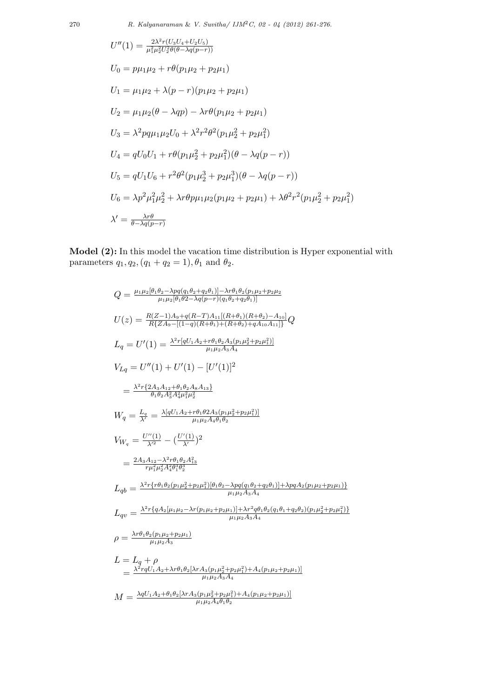$$
U''(1) = \frac{2\lambda^2 r (U_3 U_4 + U_2 U_5)}{\mu_1^2 \mu_2^2 U_2^2 \theta(\theta - \lambda q(p-r))}
$$
  
\n
$$
U_0 = p\mu_1 \mu_2 + r\theta(p_1 \mu_2 + p_2 \mu_1)
$$
  
\n
$$
U_1 = \mu_1 \mu_2 + \lambda(p-r)(p_1 \mu_2 + p_2 \mu_1)
$$
  
\n
$$
U_2 = \mu_1 \mu_2 (\theta - \lambda qp) - \lambda r\theta(p_1 \mu_2 + p_2 \mu_1)
$$
  
\n
$$
U_3 = \lambda^2 pq\mu_1 \mu_2 U_0 + \lambda^2 r^2 \theta^2(p_1 \mu_2^2 + p_2 \mu_1^2)
$$
  
\n
$$
U_4 = qU_0 U_1 + r\theta(p_1 \mu_2^2 + p_2 \mu_1^2)(\theta - \lambda q(p-r))
$$
  
\n
$$
U_5 = qU_1 U_6 + r^2 \theta^2(p_1 \mu_2^3 + p_2 \mu_1^3)(\theta - \lambda q(p-r))
$$
  
\n
$$
U_6 = \lambda p^2 \mu_1^2 \mu_2^2 + \lambda r\theta p \mu_1 \mu_2(p_1 \mu_2 + p_2 \mu_1) + \lambda \theta^2 r^2(p_1 \mu_2^2 + p_2 \mu_1^2)
$$
  
\n
$$
\lambda' = \frac{\lambda r\theta}{\theta - \lambda q(p-r)}
$$

**Model (2):** In this model the vacation time distribution is Hyper exponential with parameters  $q_1, q_2, (q_1 + q_2 = 1), \theta_1$  and  $\theta_2$ .

$$
Q = \frac{\mu_1 \mu_2 [\theta_1 \theta_2 - \lambda pq(q_1 \theta_2 + q_2 \theta_1)] - \lambda r \theta_1 \theta_2 (p_1 \mu_2 + p_2 \mu_2)}{\mu_1 \mu_2 [\theta_1 \theta_2 - \lambda q (p-r) (q_1 \theta_2 + q_2 \theta_1)]}
$$
  
\n
$$
U(z) = \frac{R(Z-1)A_9 + q(R-T)A_{11}[(R+\theta_1)(R+\theta_2) - A_{10}]}{R(ZA_9 - [(1-q)(R+\theta_1) + (R+\theta_2) + qA_{10}A_{11}]}\nQ
$$
  
\n
$$
L_q = U'(1) = \frac{\lambda^2 r [qU_1 A_2 + r \theta_1 \theta_2 A_3 (p_1 \mu_2^2 + p_2 \mu_1^2)]}{\mu_1 \mu_2 A_3 A_4}
$$
  
\n
$$
V_{Lq} = U''(1) + U'(1) - [U'(1)]^2
$$
  
\n
$$
= \frac{\lambda^2 r \{2A_3 A_{12} + \theta_1 \theta_2 A_8 A_{13}\}}{\theta_1 \theta_2 A_3^2 A_4^2 \mu_1^2 \mu_2^2}
$$
  
\n
$$
W_q = \frac{L_q}{\lambda^2} = \frac{\lambda [qU_1 A_2 + r \theta_1 \theta_2 A_3 (p_1 \mu_2^2 + p_2 \mu_1^2)]}{\mu_1 \mu_2 A_4 \theta_1 \theta_2}
$$
  
\n
$$
V_{W_q} = \frac{U''(1)}{\lambda^2} - (\frac{U'(1)}{\lambda^2})^2
$$
  
\n
$$
= \frac{2A_3 A_{12} - \lambda^2 r \theta_1 \theta_2 A_{13}^2}{r \mu_1^2 \mu_2^2 A_4^2 \theta_1^2 \theta_2^2}
$$
  
\n
$$
L_q b = \frac{\lambda^2 r \{r \theta_1 \theta_2 (p_1 \mu_2^2 + p_2 \mu_1^2) [\theta_1 \theta_2 - \lambda pq(q_1 \theta_2 + q_2 \theta_1)] + \lambda pq_4 2(p_1 \mu_2 + p_2 \mu_1)\}}{\mu_1 \mu_2 A_3 A_4}
$$
  
\n
$$
L_{qv
$$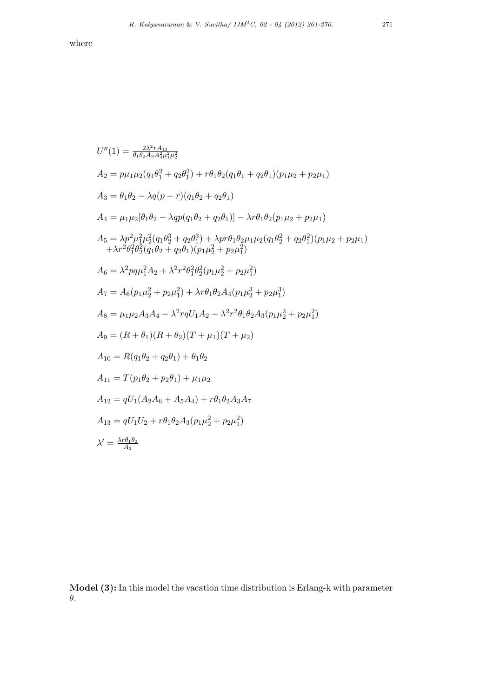where

$$
U''(1) = \frac{2\lambda^2 r A_{12}}{\theta_1 \theta_2 A_3 A_4^2 \mu_1^2 \mu_2^2}
$$
  
\n
$$
A_2 = p\mu_1 \mu_2 (q_1 \theta_1^2 + q_2 \theta_1^2) + r\theta_1 \theta_2 (q_1 \theta_1 + q_2 \theta_1) (p_1 \mu_2 + p_2 \mu_1)
$$
  
\n
$$
A_3 = \theta_1 \theta_2 - \lambda q (p - r) (q_1 \theta_2 + q_2 \theta_1)
$$
  
\n
$$
A_4 = \mu_1 \mu_2 [\theta_1 \theta_2 - \lambda q p (q_1 \theta_2 + q_2 \theta_1)] - \lambda r \theta_1 \theta_2 (p_1 \mu_2 + p_2 \mu_1)
$$
  
\n
$$
A_5 = \lambda p^2 \mu_1^2 \mu_2^2 (q_1 \theta_2^3 + q_2 \theta_1^3) + \lambda p r \theta_1 \theta_2 \mu_1 \mu_2 (q_1 \theta_2^2 + q_2 \theta_1^2) (p_1 \mu_2 + p_2 \mu_1)
$$
  
\n
$$
+ \lambda r^2 \theta_1^2 \theta_2^2 (q_1 \theta_2 + q_2 \theta_1) (p_1 \mu_2^2 + p_2 \mu_1^2)
$$
  
\n
$$
A_6 = \lambda^2 p q \mu_1^2 A_2 + \lambda^2 r^2 \theta_1^2 \theta_2^2 (p_1 \mu_2^2 + p_2 \mu_1^2)
$$
  
\n
$$
A_7 = A_6 (p_1 \mu_2^2 + p_2 \mu_1^2) + \lambda r \theta_1 \theta_2 A_4 (p_1 \mu_2^3 + p_2 \mu_1^3)
$$
  
\n
$$
A_8 = \mu_1 \mu_2 A_3 A_4 - \lambda^2 r q U_1 A_2 - \lambda^2 r^2 \theta_1 \theta_2 A_3 (p_1 \mu_2^2 + p_2 \mu_1^2)
$$
  
\n
$$
A_9 = (R + \theta_1)(R + \theta_2)(T + \mu_1)(T + \mu_2)
$$
  
\n
$$
A_{10} = R(q_1 \theta_2 + q_2 \theta_1) + \mu_1
$$

**Model (3):** In this model the vacation time distribution is Erlang-k with parameter *θ*.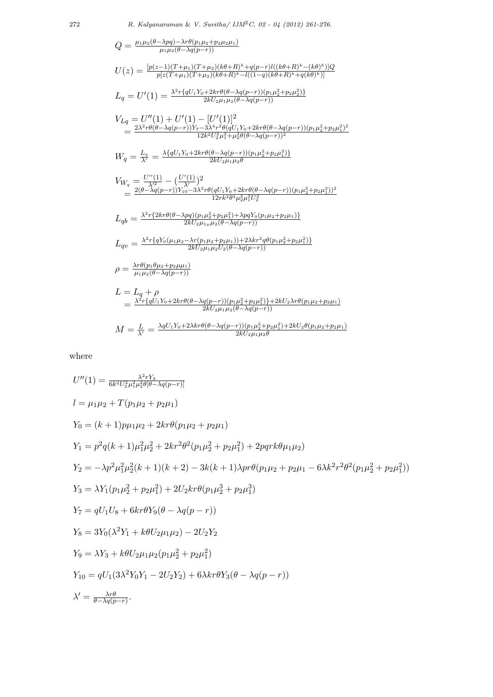$$
Q = \frac{\mu_1 \mu_2(\theta - \lambda pq) - \lambda r \theta (p_1 \mu_2 + p_2 \mu_2 \mu_1)}{\mu_1 \mu_2(\theta - \lambda q(p-r))}
$$
  
\n
$$
U(z) = \frac{[p(z-1)(T+\mu_1)(T+\mu_2)(k\theta + R)^k + q(p-r)l((k\theta + R)^k - (k\theta)^k)]Q}{p[z(T+\mu_1)(T+\mu_2)(k\theta + R)^k - l((1-q)(k\theta + R)^k + q(k\theta)^k)]}
$$
  
\n
$$
L_q = U'(1) = \frac{\lambda^2 r \{qU_1 Y_0 + 2kr\theta(\theta - \lambda q(p-r))(p_1 \mu_2^2 + p_2 \mu_2^2)\}}{2kU_2 \mu_1 \mu_2(\theta - \lambda q(p-r))}
$$
  
\n
$$
V_{Lq} = U''(1) + U'(1) - [U'(1)]^2
$$
  
\n
$$
= \frac{2\lambda^2 r \theta(\theta - \lambda q(p-r))Y_7 - 3\lambda^4 r^2 \theta(qU_1 Y_0 + 2kr\theta(\theta - \lambda q(p-r))(p_1 \mu_2^2 + p_2 \mu_1^2)^2}{12k^2U_2^2 \mu_1^2 + \mu_2^2(\theta - \lambda q(p-r))(p_1 \mu_2^2 + p_2 \mu_1^2)^2}
$$
  
\n
$$
W_q = \frac{L_q}{\lambda'} = \frac{\lambda \{qU_1 Y_0 + 2kr\theta(\theta - \lambda q(p-r))(p_1 \mu_2^2 + p_2 \mu_1^2)\}}{2kU_2 \mu_1 \mu_2 \theta}
$$
  
\n
$$
V_{W_q} = \frac{U''(1)}{\lambda'} - (\frac{U'(1)}{\lambda'})^2
$$
  
\n
$$
= \frac{2(\theta - \lambda q(p-r))Y_{10} - 3\lambda^2 r \theta(qU_1 Y_0 + 2kr\theta(\theta - \lambda q(p-r))(p_1 \mu_2^2 + p_2 \mu_1^2))^2}{12rk^2 \theta^3 \mu_2^2 \mu_1^2 U_2^2}
$$
  
\n
$$
L_{qb} = \frac{\lambda^2 r \{2kr\theta(\theta - \lambda pq)(p_1 \mu_2^2 + p_2 \mu_1^2) + \lambda pqV_0(p_1
$$

where

$$
U''(1) = \frac{\lambda^2 r Y_3}{6k^2 U_2^2 \mu_1^2 \mu_2^2 \theta [\theta - \lambda q (p - r)]}
$$
  
\n
$$
l = \mu_1 \mu_2 + T(p_1 \mu_2 + p_2 \mu_1)
$$
  
\n
$$
Y_0 = (k + 1) p \mu_1 \mu_2 + 2kr \theta (p_1 \mu_2 + p_2 \mu_1)
$$
  
\n
$$
Y_1 = p^2 q (k + 1) \mu_1^2 \mu_2^2 + 2kr^2 \theta^2 (p_1 \mu_2^2 + p_2 \mu_1^2) + 2p q r k \theta \mu_1 \mu_2)
$$
  
\n
$$
Y_2 = -\lambda p^2 \mu_1^2 \mu_2^2 (k + 1)(k + 2) - 3k(k + 1) \lambda pr \theta (p_1 \mu_2 + p_2 \mu_1 - 6\lambda k^2 r^2 \theta^2 (p_1 \mu_2^2 + p_2 \mu_1^2))
$$
  
\n
$$
Y_3 = \lambda Y_1 (p_1 \mu_2^2 + p_2 \mu_1^2) + 2U_2 kr \theta (p_1 \mu_2^3 + p_2 \mu_1^3)
$$
  
\n
$$
Y_7 = q U_1 U_8 + 6kr \theta Y_9 (\theta - \lambda q (p - r))
$$
  
\n
$$
Y_8 = 3Y_0 (\lambda^2 Y_1 + k \theta U_2 \mu_1 \mu_2) - 2U_2 Y_2
$$
  
\n
$$
Y_9 = \lambda Y_3 + k \theta U_2 \mu_1 \mu_2 (p_1 \mu_2^2 + p_2 \mu_1^2)
$$
  
\n
$$
Y_{10} = q U_1 (3\lambda^2 Y_0 Y_1 - 2U_2 Y_2) + 6\lambda kr \theta Y_3 (\theta - \lambda q (p - r))
$$
  
\n
$$
\lambda' = \frac{\lambda r \theta}{\theta - \lambda q (p - r)}.
$$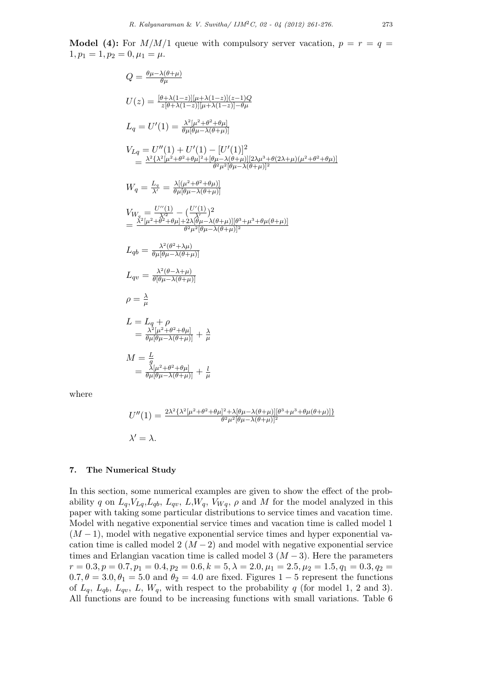**Model (4):** For  $M/M/1$  queue with compulsory server vacation,  $p = r = q$  $1, p_1 = 1, p_2 = 0, \mu_1 = \mu.$ 

$$
Q = \frac{\theta \mu - \lambda(\theta + \mu)}{\theta \mu}
$$
  
\n
$$
U(z) = \frac{[\theta + \lambda(1-z)][\mu + \lambda(1-z)](z-1)Q}{z[\theta + \lambda(1-z)][\mu + \lambda(1-z)] - \theta \mu}
$$
  
\n
$$
L_q = U'(1) = \frac{\lambda^2 [\mu^2 + \theta^2 + \theta \mu]}{\theta \mu [\theta \mu - \lambda(\theta + \mu)]}
$$
  
\n
$$
V_{Lq} = U''(1) + U'(1) - [U'(1)]^2
$$
  
\n
$$
= \frac{\lambda^2 \{\lambda^2 [\mu^2 + \theta^2 + \theta \mu]^2 + [\theta \mu - \lambda(\theta + \mu)][2\lambda \mu^3 + \theta(2\lambda + \mu)(\mu^2 + \theta^2 + \theta \mu)]}{\theta^2 \mu^2 [\theta \mu - \lambda(\theta + \mu)]^2}
$$
  
\n
$$
W_q = \frac{L_q}{\lambda'} = \frac{\lambda [(\mu^2 + \theta^2 + \theta \mu)]}{\theta \mu [\theta \mu - \lambda(\theta + \mu)]}
$$
  
\n
$$
V_{W_q} = \frac{U''(1)}{\lambda'} - (\frac{U'(1)}{\lambda})^2
$$
  
\n
$$
= \frac{\lambda^2 [\mu^2 + \theta^2 + \theta \mu] + 2\lambda [\theta \mu - \lambda(\theta + \mu)][\theta^3 + \mu^3 + \theta \mu(\theta + \mu)]}{\theta^2 \mu^2 [\theta \mu - \lambda(\theta + \mu)]^2}
$$
  
\n
$$
L_{qb} = \frac{\lambda^2 (\theta^2 + \lambda \mu)}{\theta [\theta \mu - \lambda(\theta + \mu)]}
$$
  
\n
$$
\rho = \frac{\lambda}{\mu}
$$
  
\n
$$
L = L_q + \rho
$$
  
\n
$$
= \frac{\lambda^2 [\mu^2 + \theta^2 + \theta \mu]}{\theta \mu [\theta \mu - \lambda(\theta + \mu)]} + \frac{\lambda}{\mu}
$$
  
\n
$$
M = \frac{L}{\theta}
$$
  
\n
$$
= \frac{\lambda [\mu^2 + \theta^2 + \theta \mu]}{\theta \mu [\theta \mu - \lambda(\theta + \mu)]} + \frac{L}{\mu}
$$

where

$$
U''(1) = \frac{2\lambda^2 \{\lambda^2 [\mu^2 + \theta^2 + \theta \mu]^2 + \lambda [\theta \mu - \lambda(\theta + \mu)][\theta^3 + \mu^3 + \theta \mu(\theta + \mu)]\}}{\theta^2 \mu^2 [\theta \mu - \lambda(\theta + \mu)]^2}
$$
  

$$
\lambda' = \lambda.
$$

#### **7. The Numerical Study**

In this section, some numerical examples are given to show the effect of the probability *q* on  $L_q$ ,  $V_{Lq}$ ,  $L_{qb}$ ,  $L_{qv}$ ,  $L$ ,  $W_q$ ,  $V_{Wq}$ ,  $\rho$  and  $M$  for the model analyzed in this paper with taking some particular distributions to service times and vacation time. Model with negative exponential service times and vacation time is called model 1 (*M −* 1), model with negative exponential service times and hyper exponential vacation time is called model  $2 (M - 2)$  and model with negative exponential service times and Erlangian vacation time is called model 3  $(M-3)$ . Here the parameters  $r = 0.3, p = 0.7, p_1 = 0.4, p_2 = 0.6, k = 5, \lambda = 2.0, \mu_1 = 2.5, \mu_2 = 1.5, q_1 = 0.3, q_2 = 1.5, q_1 = 0.3, q_2 = 1.5, q_2 = 1.5, q_1 = 0.3, q_2 = 1.5, q_2 = 1.5, q_2 = 1.5, q_2 = 1.5, q_2 = 1.5, q_2 = 1.5, q_2 = 1.5, q_2 = 1.5, q_2 = 1.5, q_2 = 1.5, q_2 = 1.5, q_$  $0.7, \theta = 3.0, \theta_1 = 5.0$  and  $\theta_2 = 4.0$  are fixed. Figures 1 − 5 represent the functions of  $L_q$ ,  $L_{qb}$ ,  $L_{qv}$ ,  $L$ ,  $W_q$ , with respect to the probability *q* (for model 1, 2 and 3). All functions are found to be increasing functions with small variations. Table 6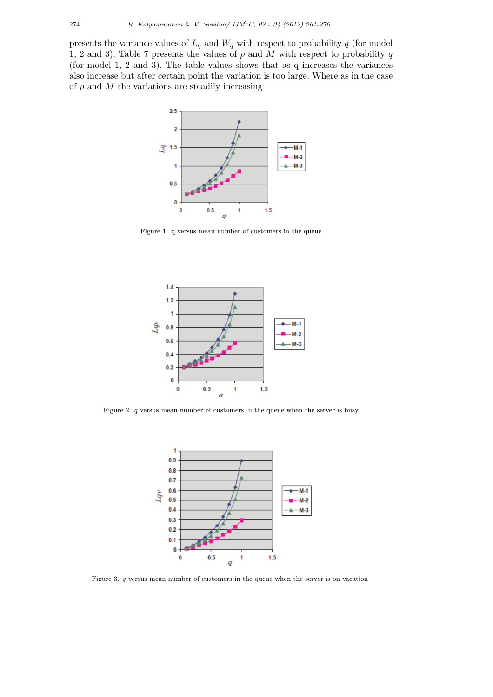presents the variance values of  $L_q$  and  $W_q$  with respect to probability  $q$  (for model 1, 2 and 3). Table 7 presents the values of  $\rho$  and M with respect to probability q (for model 1, 2 and 3). The table values shows that as q increases the variances also increase but after certain point the variation is too large. Where as in the case of  $\rho$  and  $M$  the variations are steadily increasing



Figure 1. q versus mean number of customers in the queue



Figure 2. *q* versus mean number of customers in the queue when the server is busy



Figure 3. *q* versus mean number of customers in the queue when the server is on vacation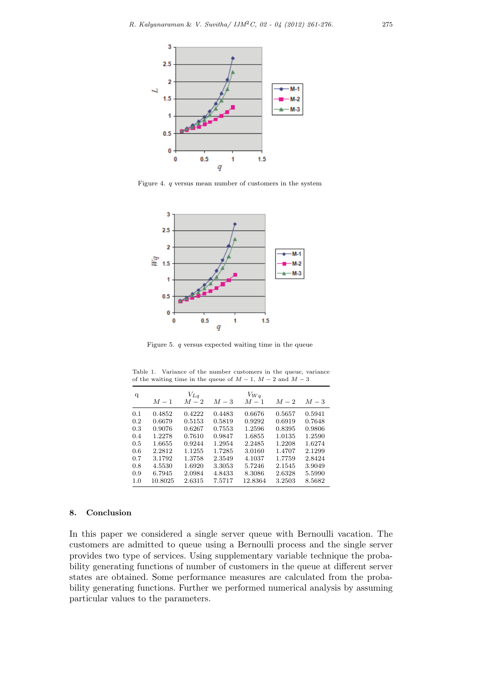

Figure 4. *q* versus mean number of customers in the system



Figure 5. *q* versus expected waiting time in the queue

| q   | $M-1$   | $V_{Lq}$<br>$M-2$ | $M-3$  | $V_{Wq}$<br>$M-1$ | $M-2$  | $M-3$  |
|-----|---------|-------------------|--------|-------------------|--------|--------|
| 0.1 | 0.4852  | 0.4222            | 0.4483 | 0.6676            | 0.5657 | 0.5941 |
| 0.2 | 0.6679  | 0.5153            | 0.5819 | 0.9292            | 0.6919 | 0.7648 |
| 0.3 | 0.9076  | 0.6267            | 0.7553 | 1.2596            | 0.8395 | 0.9806 |
| 0.4 | 1.2278  | 0.7610            | 0.9847 | 1.6855            | 1.0135 | 1.2590 |
| 0.5 | 1.6655  | 0.9244            | 1.2954 | 2.2485            | 1.2208 | 1.6274 |
| 0.6 | 2.2812  | 1.1255            | 1.7285 | 3.0160            | 1.4707 | 2.1299 |
| 0.7 | 3.1792  | 1.3758            | 2.3549 | 4.1037            | 1.7759 | 2.8424 |
| 0.8 | 4.5530  | 1.6920            | 3.3053 | 5.7246            | 2.1545 | 3.9049 |
| 0.9 | 6.7945  | 2.0984            | 4.8433 | 8.3086            | 2.6328 | 5.5990 |
| 1.0 | 10.8025 | 2.6315            | 7.5717 | 12.8364           | 3.2503 | 8.5682 |

Table 1. Variance of the number customers in the queue, variance of the waiting time in the queue of  $M-1$ ,  $M-2$  and  $M-3$ 

## **8. Conclusion**

In this paper we considered a single server queue with Bernoulli vacation. The customers are admitted to queue using a Bernoulli process and the single server provides two type of services. Using supplementary variable technique the probability generating functions of number of customers in the queue at different server states are obtained. Some performance measures are calculated from the probability generating functions. Further we performed numerical analysis by assuming particular values to the parameters.